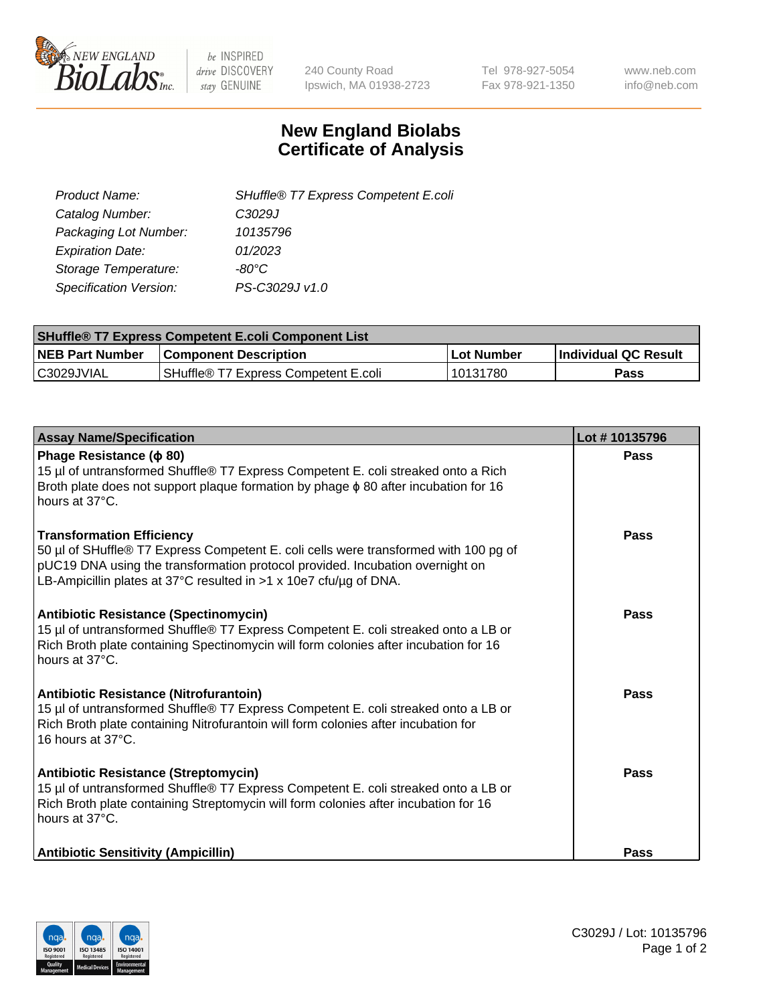

 $be$  INSPIRED drive DISCOVERY stay GENUINE

240 County Road Ipswich, MA 01938-2723 Tel 978-927-5054 Fax 978-921-1350 www.neb.com info@neb.com

## **New England Biolabs Certificate of Analysis**

| SHuffle® T7 Express Competent E.coli |
|--------------------------------------|
| C3029J                               |
| 10135796                             |
| 01/2023                              |
| -80°C.                               |
| PS-C3029J v1.0                       |
|                                      |

| <b>SHuffle<sup>®</sup> T7 Express Competent E.coli Component List</b> |                                      |            |                             |  |
|-----------------------------------------------------------------------|--------------------------------------|------------|-----------------------------|--|
| <b>NEB Part Number</b>                                                | <b>Component Description</b>         | Lot Number | <b>Individual QC Result</b> |  |
| C3029JVIAL                                                            | SHuffle® T7 Express Competent E.coli | 10131780   | <b>Pass</b>                 |  |

| <b>Assay Name/Specification</b>                                                                                                                                                                                                                                                | Lot #10135796 |
|--------------------------------------------------------------------------------------------------------------------------------------------------------------------------------------------------------------------------------------------------------------------------------|---------------|
| Phage Resistance ( $\phi$ 80)<br>15 µl of untransformed Shuffle® T7 Express Competent E. coli streaked onto a Rich<br>Broth plate does not support plaque formation by phage $\phi$ 80 after incubation for 16<br>hours at 37°C.                                               | Pass          |
| <b>Transformation Efficiency</b><br>50 µl of SHuffle® T7 Express Competent E. coli cells were transformed with 100 pg of<br>pUC19 DNA using the transformation protocol provided. Incubation overnight on<br>LB-Ampicillin plates at 37°C resulted in >1 x 10e7 cfu/µg of DNA. | Pass          |
| <b>Antibiotic Resistance (Spectinomycin)</b><br>15 µl of untransformed Shuffle® T7 Express Competent E. coli streaked onto a LB or<br>Rich Broth plate containing Spectinomycin will form colonies after incubation for 16<br>hours at 37°C.                                   | Pass          |
| Antibiotic Resistance (Nitrofurantoin)<br>15 µl of untransformed Shuffle® T7 Express Competent E. coli streaked onto a LB or<br>Rich Broth plate containing Nitrofurantoin will form colonies after incubation for<br>16 hours at 37°C.                                        | Pass          |
| <b>Antibiotic Resistance (Streptomycin)</b><br>15 µl of untransformed Shuffle® T7 Express Competent E. coli streaked onto a LB or<br>Rich Broth plate containing Streptomycin will form colonies after incubation for 16<br>hours at 37°C.                                     | Pass          |
| <b>Antibiotic Sensitivity (Ampicillin)</b>                                                                                                                                                                                                                                     | <b>Pass</b>   |